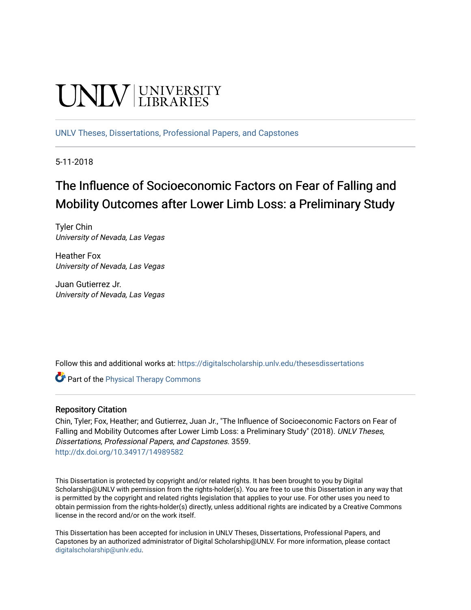# **UNIVERSITY**

[UNLV Theses, Dissertations, Professional Papers, and Capstones](https://digitalscholarship.unlv.edu/thesesdissertations)

5-11-2018

# The Influence of Socioeconomic Factors on Fear of Falling and Mobility Outcomes after Lower Limb Loss: a Preliminary Study

Tyler Chin University of Nevada, Las Vegas

Heather Fox University of Nevada, Las Vegas

Juan Gutierrez Jr. University of Nevada, Las Vegas

Follow this and additional works at: [https://digitalscholarship.unlv.edu/thesesdissertations](https://digitalscholarship.unlv.edu/thesesdissertations?utm_source=digitalscholarship.unlv.edu%2Fthesesdissertations%2F3559&utm_medium=PDF&utm_campaign=PDFCoverPages)

**Part of the [Physical Therapy Commons](http://network.bepress.com/hgg/discipline/754?utm_source=digitalscholarship.unlv.edu%2Fthesesdissertations%2F3559&utm_medium=PDF&utm_campaign=PDFCoverPages)** 

# Repository Citation

Chin, Tyler; Fox, Heather; and Gutierrez, Juan Jr., "The Influence of Socioeconomic Factors on Fear of Falling and Mobility Outcomes after Lower Limb Loss: a Preliminary Study" (2018). UNLV Theses, Dissertations, Professional Papers, and Capstones. 3559. <http://dx.doi.org/10.34917/14989582>

This Dissertation is protected by copyright and/or related rights. It has been brought to you by Digital Scholarship@UNLV with permission from the rights-holder(s). You are free to use this Dissertation in any way that is permitted by the copyright and related rights legislation that applies to your use. For other uses you need to obtain permission from the rights-holder(s) directly, unless additional rights are indicated by a Creative Commons license in the record and/or on the work itself.

This Dissertation has been accepted for inclusion in UNLV Theses, Dissertations, Professional Papers, and Capstones by an authorized administrator of Digital Scholarship@UNLV. For more information, please contact [digitalscholarship@unlv.edu](mailto:digitalscholarship@unlv.edu).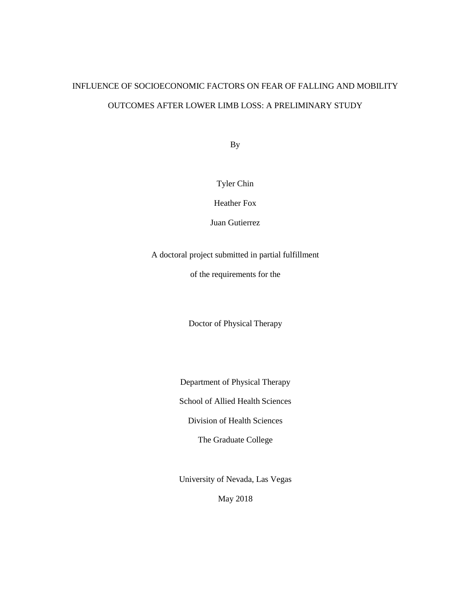# INFLUENCE OF SOCIOECONOMIC FACTORS ON FEAR OF FALLING AND MOBILITY OUTCOMES AFTER LOWER LIMB LOSS: A PRELIMINARY STUDY

By

# Tyler Chin

Heather Fox

Juan Gutierrez

A doctoral project submitted in partial fulfillment

of the requirements for the

Doctor of Physical Therapy

Department of Physical Therapy

School of Allied Health Sciences

Division of Health Sciences

The Graduate College

University of Nevada, Las Vegas

May 2018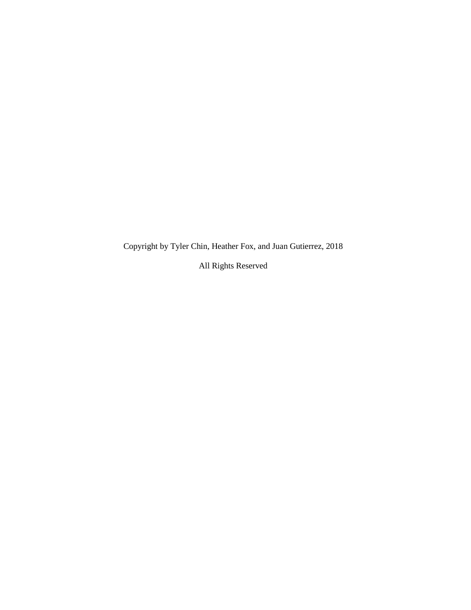Copyright by Tyler Chin, Heather Fox, and Juan Gutierrez, 2018

All Rights Reserved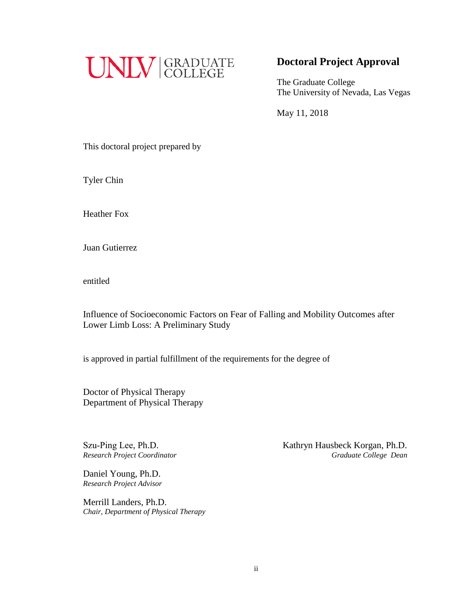

# **Doctoral Project Approval**

The Graduate College The University of Nevada, Las Vegas

May 11, 2018

This doctoral project prepared by

Tyler Chin

Heather Fox

Juan Gutierrez

entitled

Influence of Socioeconomic Factors on Fear of Falling and Mobility Outcomes after Lower Limb Loss: A Preliminary Study

is approved in partial fulfillment of the requirements for the degree of

Doctor of Physical Therapy Department of Physical Therapy

Szu-Ping Lee, Ph.D. *Research Project Coordinator* 

Daniel Young, Ph.D. *Research Project Advisor* 

Merrill Landers, Ph.D. *Chair, Department of Physical Therapy*  Kathryn Hausbeck Korgan, Ph.D.  *Graduate College Dean*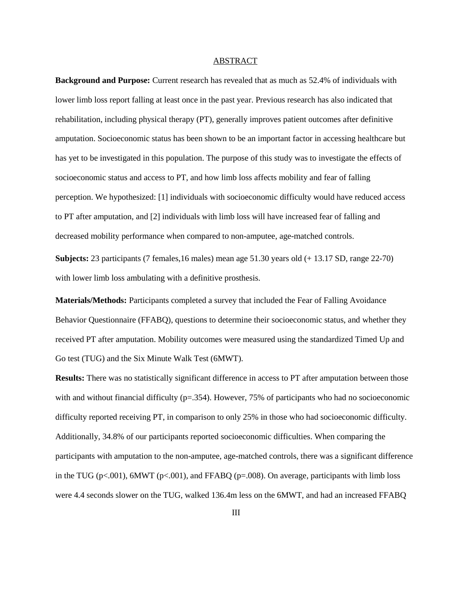#### ABSTRACT

**Background and Purpose:** Current research has revealed that as much as 52.4% of individuals with lower limb loss report falling at least once in the past year. Previous research has also indicated that rehabilitation, including physical therapy (PT), generally improves patient outcomes after definitive amputation. Socioeconomic status has been shown to be an important factor in accessing healthcare but has yet to be investigated in this population. The purpose of this study was to investigate the effects of socioeconomic status and access to PT, and how limb loss affects mobility and fear of falling perception. We hypothesized: [1] individuals with socioeconomic difficulty would have reduced access to PT after amputation, and [2] individuals with limb loss will have increased fear of falling and decreased mobility performance when compared to non-amputee, age-matched controls.

**Subjects:** 23 participants (7 females,16 males) mean age 51.30 years old (+ 13.17 SD, range 22-70) with lower limb loss ambulating with a definitive prosthesis.

**Materials/Methods:** Participants completed a survey that included the Fear of Falling Avoidance Behavior Questionnaire (FFABQ), questions to determine their socioeconomic status, and whether they received PT after amputation. Mobility outcomes were measured using the standardized Timed Up and Go test (TUG) and the Six Minute Walk Test (6MWT).

**Results:** There was no statistically significant difference in access to PT after amputation between those with and without financial difficulty ( $p=354$ ). However, 75% of participants who had no socioeconomic difficulty reported receiving PT, in comparison to only 25% in those who had socioeconomic difficulty. Additionally, 34.8% of our participants reported socioeconomic difficulties. When comparing the participants with amputation to the non-amputee, age-matched controls, there was a significant difference in the TUG (p $\lt$ ,001), 6MWT (p $\lt$ ,001), and FFABO (p=,008). On average, participants with limb loss were 4.4 seconds slower on the TUG, walked 136.4m less on the 6MWT, and had an increased FFABQ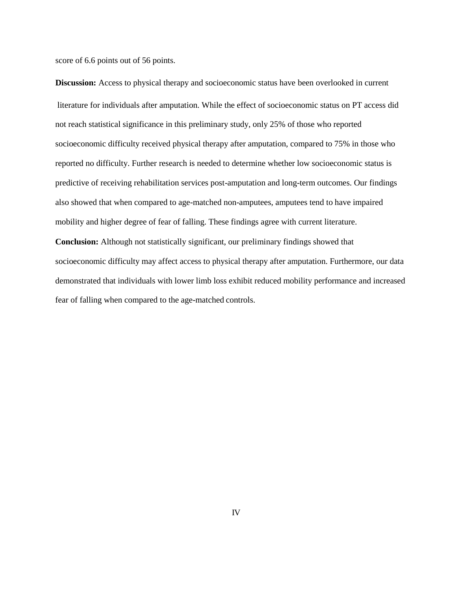score of 6.6 points out of 56 points.

**Discussion:** Access to physical therapy and socioeconomic status have been overlooked in current literature for individuals after amputation. While the effect of socioeconomic status on PT access did not reach statistical significance in this preliminary study, only 25% of those who reported socioeconomic difficulty received physical therapy after amputation, compared to 75% in those who reported no difficulty. Further research is needed to determine whether low socioeconomic status is predictive of receiving rehabilitation services post-amputation and long-term outcomes. Our findings also showed that when compared to age-matched non-amputees, amputees tend to have impaired mobility and higher degree of fear of falling. These findings agree with current literature. **Conclusion:** Although not statistically significant, our preliminary findings showed that socioeconomic difficulty may affect access to physical therapy after amputation. Furthermore, our data demonstrated that individuals with lower limb loss exhibit reduced mobility performance and increased fear of falling when compared to the age-matched controls.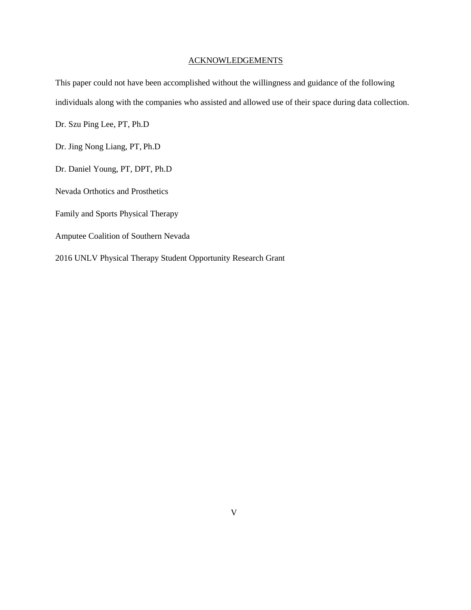# ACKNOWLEDGEMENTS

This paper could not have been accomplished without the willingness and guidance of the following individuals along with the companies who assisted and allowed use of their space during data collection.

Dr. Szu Ping Lee, PT, Ph.D

Dr. Jing Nong Liang, PT, Ph.D

Dr. Daniel Young, PT, DPT, Ph.D

Nevada Orthotics and Prosthetics

Family and Sports Physical Therapy

Amputee Coalition of Southern Nevada

2016 UNLV Physical Therapy Student Opportunity Research Grant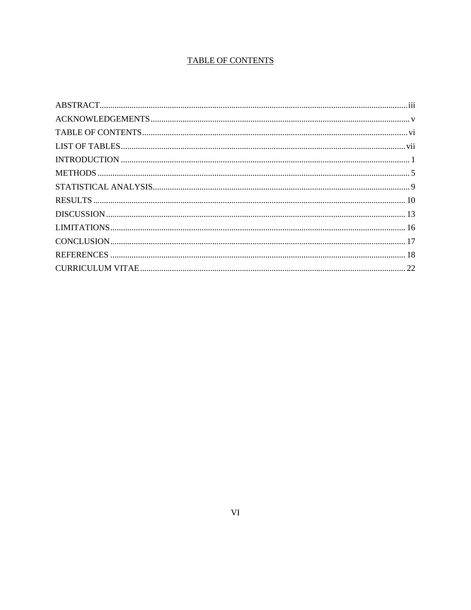# **TABLE OF CONTENTS**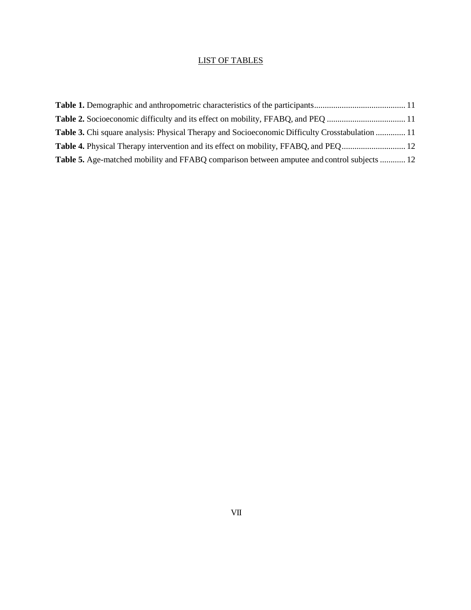# LIST OF TABLES

| <b>Table 3.</b> Chi square analysis: Physical Therapy and Socioeconomic Difficulty Crosstabulation  11 |  |
|--------------------------------------------------------------------------------------------------------|--|
|                                                                                                        |  |
| Table 5. Age-matched mobility and FFABQ comparison between amputee and control subjects  12            |  |
|                                                                                                        |  |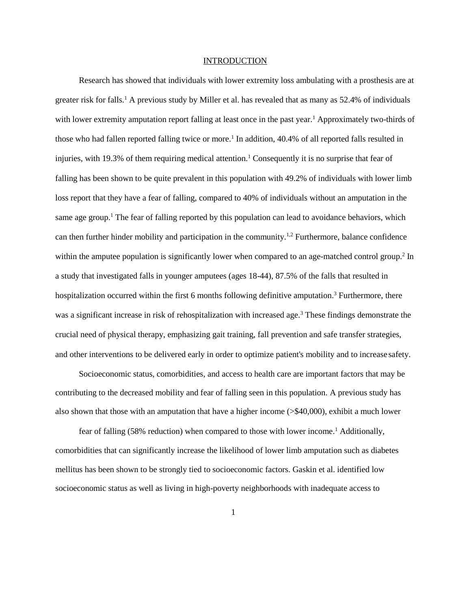#### **INTRODUCTION**

Research has showed that individuals with lower extremity loss ambulating with a prosthesis are at greater risk for falls.<sup>1</sup> A previous study by Miller et al. has revealed that as many as 52.4% of individuals with lower extremity amputation report falling at least once in the past year.<sup>1</sup> Approximately two-thirds of those who had fallen reported falling twice or more.<sup>1</sup> In addition, 40.4% of all reported falls resulted in injuries, with 19.3% of them requiring medical attention.<sup>1</sup> Consequently it is no surprise that fear of falling has been shown to be quite prevalent in this population with 49.2% of individuals with lower limb loss report that they have a fear of falling, compared to 40% of individuals without an amputation in the same age group.<sup>1</sup> The fear of falling reported by this population can lead to avoidance behaviors, which can then further hinder mobility and participation in the community.1,2 Furthermore, balance confidence within the amputee population is significantly lower when compared to an age-matched control group.<sup>2</sup> In a study that investigated falls in younger amputees (ages 18-44), 87.5% of the falls that resulted in hospitalization occurred within the first 6 months following definitive amputation.<sup>3</sup> Furthermore, there was a significant increase in risk of rehospitalization with increased age.<sup>3</sup> These findings demonstrate the crucial need of physical therapy, emphasizing gait training, fall prevention and safe transfer strategies, and other interventions to be delivered early in order to optimize patient's mobility and to increase safety.

Socioeconomic status, comorbidities, and access to health care are important factors that may be contributing to the decreased mobility and fear of falling seen in this population. A previous study has also shown that those with an amputation that have a higher income (>\$40,000), exhibit a much lower

fear of falling (58% reduction) when compared to those with lower income.<sup>1</sup> Additionally, comorbidities that can significantly increase the likelihood of lower limb amputation such as diabetes mellitus has been shown to be strongly tied to socioeconomic factors. Gaskin et al. identified low socioeconomic status as well as living in high-poverty neighborhoods with inadequate access to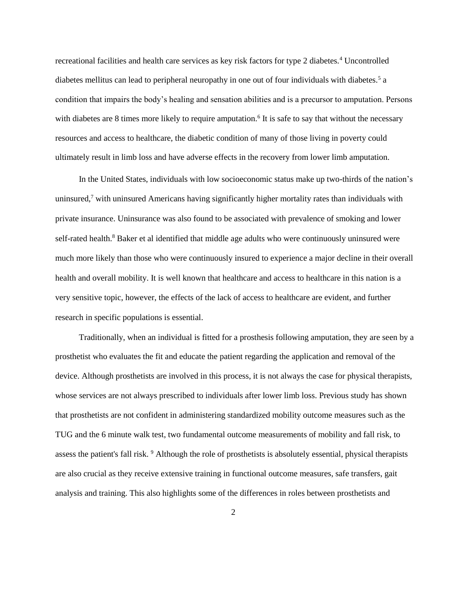recreational facilities and health care services as key risk factors for type 2 diabetes.<sup>4</sup> Uncontrolled diabetes mellitus can lead to peripheral neuropathy in one out of four individuals with diabetes.<sup>5</sup> a condition that impairs the body's healing and sensation abilities and is a precursor to amputation. Persons with diabetes are 8 times more likely to require amputation.<sup>6</sup> It is safe to say that without the necessary resources and access to healthcare, the diabetic condition of many of those living in poverty could ultimately result in limb loss and have adverse effects in the recovery from lower limb amputation.

In the United States, individuals with low socioeconomic status make up two-thirds of the nation's uninsured,<sup>7</sup> with uninsured Americans having significantly higher mortality rates than individuals with private insurance. Uninsurance was also found to be associated with prevalence of smoking and lower self-rated health.<sup>8</sup> Baker et al identified that middle age adults who were continuously uninsured were much more likely than those who were continuously insured to experience a major decline in their overall health and overall mobility. It is well known that healthcare and access to healthcare in this nation is a very sensitive topic, however, the effects of the lack of access to healthcare are evident, and further research in specific populations is essential.

Traditionally, when an individual is fitted for a prosthesis following amputation, they are seen by a prosthetist who evaluates the fit and educate the patient regarding the application and removal of the device. Although prosthetists are involved in this process, it is not always the case for physical therapists, whose services are not always prescribed to individuals after lower limb loss. Previous study has shown that prosthetists are not confident in administering standardized mobility outcome measures such as the TUG and the 6 minute walk test, two fundamental outcome measurements of mobility and fall risk, to assess the patient's fall risk. <sup>9</sup> Although the role of prosthetists is absolutely essential, physical therapists are also crucial as they receive extensive training in functional outcome measures, safe transfers, gait analysis and training. This also highlights some of the differences in roles between prosthetists and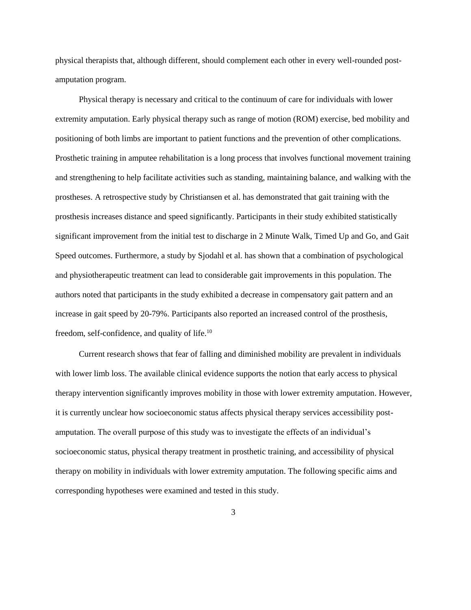physical therapists that, although different, should complement each other in every well-rounded postamputation program.

Physical therapy is necessary and critical to the continuum of care for individuals with lower extremity amputation. Early physical therapy such as range of motion (ROM) exercise, bed mobility and positioning of both limbs are important to patient functions and the prevention of other complications. Prosthetic training in amputee rehabilitation is a long process that involves functional movement training and strengthening to help facilitate activities such as standing, maintaining balance, and walking with the prostheses. A retrospective study by Christiansen et al. has demonstrated that gait training with the prosthesis increases distance and speed significantly. Participants in their study exhibited statistically significant improvement from the initial test to discharge in 2 Minute Walk, Timed Up and Go, and Gait Speed outcomes. Furthermore, a study by Sjodahl et al. has shown that a combination of psychological and physiotherapeutic treatment can lead to considerable gait improvements in this population. The authors noted that participants in the study exhibited a decrease in compensatory gait pattern and an increase in gait speed by 20-79%. Participants also reported an increased control of the prosthesis, freedom, self-confidence, and quality of life.<sup>10</sup>

Current research shows that fear of falling and diminished mobility are prevalent in individuals with lower limb loss. The available clinical evidence supports the notion that early access to physical therapy intervention significantly improves mobility in those with lower extremity amputation. However, it is currently unclear how socioeconomic status affects physical therapy services accessibility postamputation. The overall purpose of this study was to investigate the effects of an individual's socioeconomic status, physical therapy treatment in prosthetic training, and accessibility of physical therapy on mobility in individuals with lower extremity amputation. The following specific aims and corresponding hypotheses were examined and tested in this study.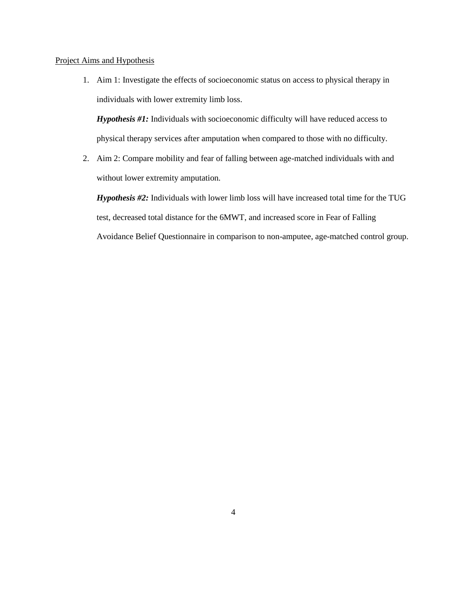#### Project Aims and Hypothesis

1. Aim 1: Investigate the effects of socioeconomic status on access to physical therapy in individuals with lower extremity limb loss.

*Hypothesis #1:* Individuals with socioeconomic difficulty will have reduced access to physical therapy services after amputation when compared to those with no difficulty.

2. Aim 2: Compare mobility and fear of falling between age-matched individuals with and without lower extremity amputation.

*Hypothesis #2:* Individuals with lower limb loss will have increased total time for the TUG test, decreased total distance for the 6MWT, and increased score in Fear of Falling Avoidance Belief Questionnaire in comparison to non-amputee, age-matched control group.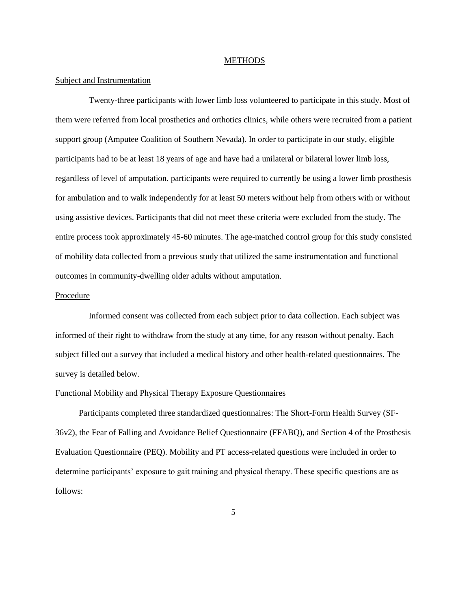#### **METHODS**

#### Subject and Instrumentation

Twenty-three participants with lower limb loss volunteered to participate in this study. Most of them were referred from local prosthetics and orthotics clinics, while others were recruited from a patient support group (Amputee Coalition of Southern Nevada). In order to participate in our study, eligible participants had to be at least 18 years of age and have had a unilateral or bilateral lower limb loss, regardless of level of amputation. participants were required to currently be using a lower limb prosthesis for ambulation and to walk independently for at least 50 meters without help from others with or without using assistive devices. Participants that did not meet these criteria were excluded from the study. The entire process took approximately 45-60 minutes. The age-matched control group for this study consisted of mobility data collected from a previous study that utilized the same instrumentation and functional outcomes in community-dwelling older adults without amputation.

#### **Procedure**

Informed consent was collected from each subject prior to data collection. Each subject was informed of their right to withdraw from the study at any time, for any reason without penalty. Each subject filled out a survey that included a medical history and other health-related questionnaires. The survey is detailed below.

#### Functional Mobility and Physical Therapy Exposure Questionnaires

Participants completed three standardized questionnaires: The Short-Form Health Survey (SF-36v2), the Fear of Falling and Avoidance Belief Questionnaire (FFABQ), and Section 4 of the Prosthesis Evaluation Questionnaire (PEQ). Mobility and PT access-related questions were included in order to determine participants' exposure to gait training and physical therapy. These specific questions are as follows: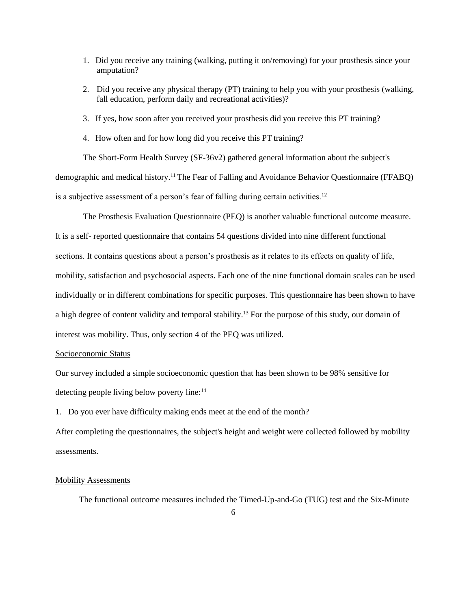- 1. Did you receive any training (walking, putting it on/removing) for your prosthesis since your amputation?
- 2. Did you receive any physical therapy (PT) training to help you with your prosthesis (walking, fall education, perform daily and recreational activities)?
- 3. If yes, how soon after you received your prosthesis did you receive this PT training?
- 4. How often and for how long did you receive this PT training?

The Short-Form Health Survey (SF-36v2) gathered general information about the subject's demographic and medical history.<sup>11</sup>The Fear of Falling and Avoidance Behavior Questionnaire (FFABQ) is a subjective assessment of a person's fear of falling during certain activities.<sup>12</sup>

The Prosthesis Evaluation Questionnaire (PEQ) is another valuable functional outcome measure. It is a self- reported questionnaire that contains 54 questions divided into nine different functional sections. It contains questions about a person's prosthesis as it relates to its effects on quality of life, mobility, satisfaction and psychosocial aspects. Each one of the nine functional domain scales can be used individually or in different combinations for specific purposes. This questionnaire has been shown to have a high degree of content validity and temporal stability.<sup>13</sup> For the purpose of this study, our domain of interest was mobility. Thus, only section 4 of the PEQ was utilized.

#### Socioeconomic Status

Our survey included a simple socioeconomic question that has been shown to be 98% sensitive for detecting people living below poverty line:<sup>14</sup>

1. Do you ever have difficulty making ends meet at the end of the month?

After completing the questionnaires, the subject's height and weight were collected followed by mobility assessments.

#### Mobility Assessments

The functional outcome measures included the Timed-Up-and-Go (TUG) test and the Six-Minute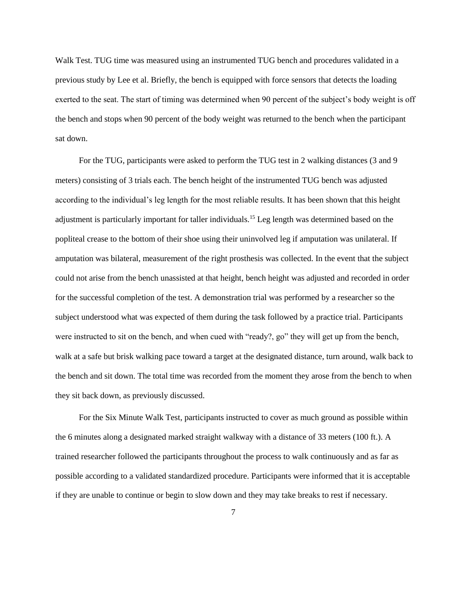Walk Test. TUG time was measured using an instrumented TUG bench and procedures validated in a previous study by Lee et al. Briefly, the bench is equipped with force sensors that detects the loading exerted to the seat. The start of timing was determined when 90 percent of the subject's body weight is off the bench and stops when 90 percent of the body weight was returned to the bench when the participant sat down.

For the TUG, participants were asked to perform the TUG test in 2 walking distances (3 and 9 meters) consisting of 3 trials each. The bench height of the instrumented TUG bench was adjusted according to the individual's leg length for the most reliable results. It has been shown that this height adjustment is particularly important for taller individuals.<sup>15</sup> Leg length was determined based on the popliteal crease to the bottom of their shoe using their uninvolved leg if amputation was unilateral. If amputation was bilateral, measurement of the right prosthesis was collected. In the event that the subject could not arise from the bench unassisted at that height, bench height was adjusted and recorded in order for the successful completion of the test. A demonstration trial was performed by a researcher so the subject understood what was expected of them during the task followed by a practice trial. Participants were instructed to sit on the bench, and when cued with "ready?, go" they will get up from the bench, walk at a safe but brisk walking pace toward a target at the designated distance, turn around, walk back to the bench and sit down. The total time was recorded from the moment they arose from the bench to when they sit back down, as previously discussed.

For the Six Minute Walk Test, participants instructed to cover as much ground as possible within the 6 minutes along a designated marked straight walkway with a distance of 33 meters (100 ft.). A trained researcher followed the participants throughout the process to walk continuously and as far as possible according to a validated standardized procedure. Participants were informed that it is acceptable if they are unable to continue or begin to slow down and they may take breaks to rest if necessary.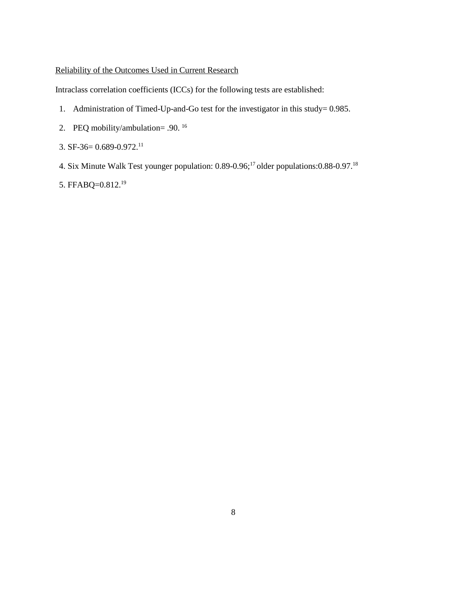# Reliability of the Outcomes Used in Current Research

Intraclass correlation coefficients (ICCs) for the following tests are established:

- 1. Administration of Timed-Up-and-Go test for the investigator in this study= 0.985.
- 2. PEQ mobility/ambulation= .90. <sup>16</sup>
- 3. SF-36=  $0.689 0.972$ <sup>11</sup>
- 4. Six Minute Walk Test younger population: 0.89-0.96;<sup>17</sup> older populations: 0.88-0.97.<sup>18</sup>
- 5. FFABQ=0.812.19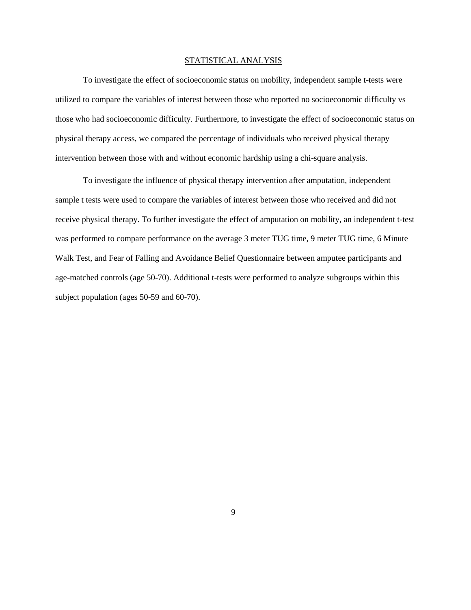#### STATISTICAL ANALYSIS

To investigate the effect of socioeconomic status on mobility, independent sample t-tests were utilized to compare the variables of interest between those who reported no socioeconomic difficulty vs those who had socioeconomic difficulty. Furthermore, to investigate the effect of socioeconomic status on physical therapy access, we compared the percentage of individuals who received physical therapy intervention between those with and without economic hardship using a chi-square analysis.

To investigate the influence of physical therapy intervention after amputation, independent sample t tests were used to compare the variables of interest between those who received and did not receive physical therapy. To further investigate the effect of amputation on mobility, an independent t-test was performed to compare performance on the average 3 meter TUG time, 9 meter TUG time, 6 Minute Walk Test, and Fear of Falling and Avoidance Belief Questionnaire between amputee participants and age-matched controls (age 50-70). Additional t-tests were performed to analyze subgroups within this subject population (ages 50-59 and 60-70).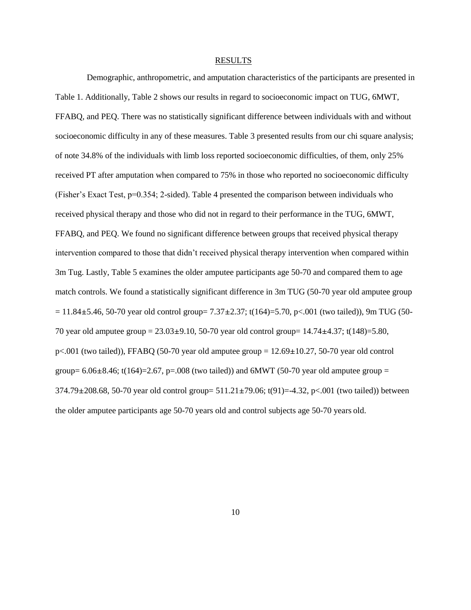#### RESULTS

Demographic, anthropometric, and amputation characteristics of the participants are presented in Table 1. Additionally, Table 2 shows our results in regard to socioeconomic impact on TUG, 6MWT, FFABQ, and PEQ. There was no statistically significant difference between individuals with and without socioeconomic difficulty in any of these measures. Table 3 presented results from our chi square analysis; of note 34.8% of the individuals with limb loss reported socioeconomic difficulties, of them, only 25% received PT after amputation when compared to 75% in those who reported no socioeconomic difficulty (Fisher's Exact Test, p=0.354; 2-sided). Table 4 presented the comparison between individuals who received physical therapy and those who did not in regard to their performance in the TUG, 6MWT, FFABQ, and PEQ. We found no significant difference between groups that received physical therapy intervention compared to those that didn't received physical therapy intervention when compared within 3m Tug. Lastly, Table 5 examines the older amputee participants age 50-70 and compared them to age match controls. We found a statistically significant difference in 3m TUG (50-70 year old amputee group  $= 11.84\pm5.46$ , 50-70 year old control group= 7.37 $\pm 2.37$ ; t(164)=5.70, p<.001 (two tailed)), 9m TUG (50-70 year old amputee group = 23.03±9.10, 50-70 year old control group= 14.74±4.37; t(148)=5.80,  $p<.001$  (two tailed)), FFABQ (50-70 year old amputee group = 12.69 $\pm$ 10.27, 50-70 year old control group=  $6.06\pm8.46$ ; t(164)=2.67, p=.008 (two tailed)) and 6MWT (50-70 year old amputee group = 374.79±208.68, 50-70 year old control group= 511.21±79.06; t(91)=-4.32, p<.001 (two tailed)) between the older amputee participants age 50-70 years old and control subjects age 50-70 years old.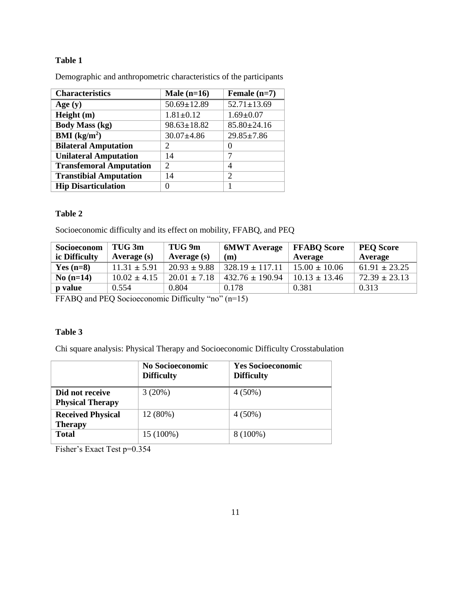# **Table 1**

Demographic and anthropometric characteristics of the participants

| <b>Characteristics</b>                 | Male $(n=16)$     | Female $(n=7)$              |
|----------------------------------------|-------------------|-----------------------------|
| Age $(y)$                              | $50.69 \pm 12.89$ | $52.71 \pm 13.69$           |
| Height (m)                             | $1.81 \pm 0.12$   | $1.69 \pm 0.07$             |
| <b>Body Mass (kg)</b>                  | $98.63 \pm 18.82$ | $85.80 \pm 24.16$           |
| $\overline{\text{BMI}(\text{kg/m}^2)}$ | $30.07 \pm 4.86$  | $29.85 \pm 7.86$            |
| <b>Bilateral Amputation</b>            | 2                 |                             |
| <b>Unilateral Amputation</b>           | 14                | 7                           |
| <b>Transfemoral Amputation</b>         | 2                 | 4                           |
| <b>Transtibial Amputation</b>          | 14                | $\mathcal{D}_{\mathcal{L}}$ |
| <b>Hip Disarticulation</b>             |                   |                             |

# **Table 2**

Socioeconomic difficulty and its effect on mobility, FFABQ, and PEQ

| Socioeconom<br>ic Difficulty | TUG <sub>3m</sub><br>Average $(s)$ | TUG 9m<br>Average (s) | <b>6MWT</b> Average<br>(m) | <b>FFABO</b> Score<br>Average | <b>PEQ Score</b><br>Average |
|------------------------------|------------------------------------|-----------------------|----------------------------|-------------------------------|-----------------------------|
| Yes $(n=8)$                  | $11.31 \pm 5.91$                   | $20.93 \pm 9.88$      | $328.19 \pm 117.11$        | $15.00 \pm 10.06$             | $61.91 \pm 23.25$           |
| $No(n=14)$                   | $10.02 \pm 4.15$                   | $20.01 \pm 7.18$      | $432.76 \pm 190.94$        | $10.13 \pm 13.46$             | $72.39 \pm 23.13$           |
| p value                      | 0.554                              | 0.804                 | 0.178                      | 0.381                         | 0.313                       |

FFABQ and PEQ Socioeconomic Difficulty "no" (n=15)

# **Table 3**

Chi square analysis: Physical Therapy and Socioeconomic Difficulty Crosstabulation

|                                            | No Socioeconomic<br><b>Difficulty</b> | <b>Yes Socioeconomic</b><br><b>Difficulty</b> |
|--------------------------------------------|---------------------------------------|-----------------------------------------------|
| Did not receive<br><b>Physical Therapy</b> | 3(20%)                                | $4(50\%)$                                     |
| <b>Received Physical</b><br><b>Therapy</b> | 12 (80%)                              | $4(50\%)$                                     |
| <b>Total</b>                               | 15 (100%)                             | $8(100\%)$                                    |

Fisher's Exact Test p=0.354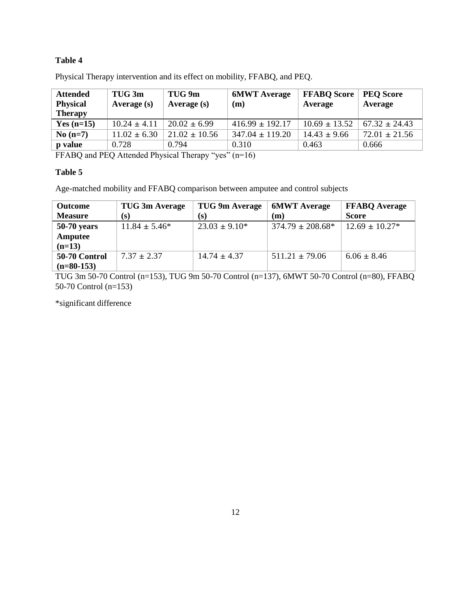# **Table 4**

| <b>Attended</b><br><b>Physical</b><br><b>Therapy</b> | TUG 3m<br>Average $(s)$ | TUG 9m<br>Average (s) | <b>6MWT</b> Average<br>(m) | <b>FFABQ Score</b><br>Average | <b>PEQ Score</b><br>Average |
|------------------------------------------------------|-------------------------|-----------------------|----------------------------|-------------------------------|-----------------------------|
| Yes $(n=15)$                                         | $10.24 \pm 4.11$        | $20.02 \pm 6.99$      | $416.99 \pm 192.17$        | $10.69 \pm 13.52$             | $67.32 \pm 24.43$           |
| $No(n=7)$                                            | $11.02 \pm 6.30$        | $21.02 \pm 10.56$     | $347.04 \pm 119.20$        | $14.43 \pm 9.66$              | $72.01 \pm 21.56$           |
| <b>p</b> value                                       | 0.728                   | 0.794                 | 0.310                      | 0.463                         | 0.666                       |

Physical Therapy intervention and its effect on mobility, FFABQ, and PEQ.

FFABQ and PEQ Attended Physical Therapy "yes" (n=16)

#### **Table 5**

Age-matched mobility and FFABQ comparison between amputee and control subjects

| <b>Outcome</b> | TUG 3m Average     | TUG 9m Average     | <b>6MWT</b> Average   | <b>FFABO</b> Average |
|----------------|--------------------|--------------------|-----------------------|----------------------|
| <b>Measure</b> | (s)                | (s)                | (m)                   | <b>Score</b>         |
| $50-70$ years  | $11.84 \pm 5.46^*$ | $23.03 \pm 9.10^*$ | $374.79 \pm 208.68^*$ | $12.69 \pm 10.27*$   |
| Amputee        |                    |                    |                       |                      |
| $(n=13)$       |                    |                    |                       |                      |
| 50-70 Control  | $7.37 \pm 2.37$    | $14.74 \pm 4.37$   | $511.21 \pm 79.06$    | $6.06 \pm 8.46$      |
| $(n=80-153)$   |                    |                    |                       |                      |

TUG 3m 50-70 Control (n=153), TUG 9m 50-70 Control (n=137), 6MWT 50-70 Control (n=80), FFABQ 50-70 Control (n=153)

\*significant difference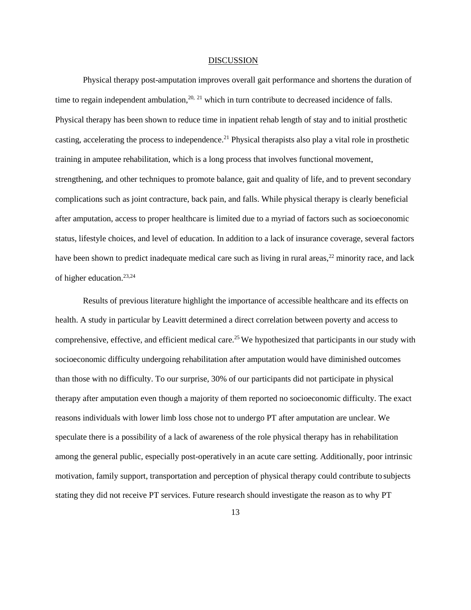#### DISCUSSION

Physical therapy post-amputation improves overall gait performance and shortens the duration of time to regain independent ambulation,  $20$ ,  $21$  which in turn contribute to decreased incidence of falls. Physical therapy has been shown to reduce time in inpatient rehab length of stay and to initial prosthetic casting, accelerating the process to independence.<sup>21</sup> Physical therapists also play a vital role in prosthetic training in amputee rehabilitation, which is a long process that involves functional movement, strengthening, and other techniques to promote balance, gait and quality of life, and to prevent secondary complications such as joint contracture, back pain, and falls. While physical therapy is clearly beneficial after amputation, access to proper healthcare is limited due to a myriad of factors such as socioeconomic status, lifestyle choices, and level of education. In addition to a lack of insurance coverage, several factors have been shown to predict inadequate medical care such as living in rural areas,<sup>22</sup> minority race, and lack of higher education.23,24

Results of previous literature highlight the importance of accessible healthcare and its effects on health. A study in particular by Leavitt determined a direct correlation between poverty and access to comprehensive, effective, and efficient medical care.<sup>25</sup>We hypothesized that participants in our study with socioeconomic difficulty undergoing rehabilitation after amputation would have diminished outcomes than those with no difficulty. To our surprise, 30% of our participants did not participate in physical therapy after amputation even though a majority of them reported no socioeconomic difficulty. The exact reasons individuals with lower limb loss chose not to undergo PT after amputation are unclear. We speculate there is a possibility of a lack of awareness of the role physical therapy has in rehabilitation among the general public, especially post-operatively in an acute care setting. Additionally, poor intrinsic motivation, family support, transportation and perception of physical therapy could contribute to subjects stating they did not receive PT services. Future research should investigate the reason as to why PT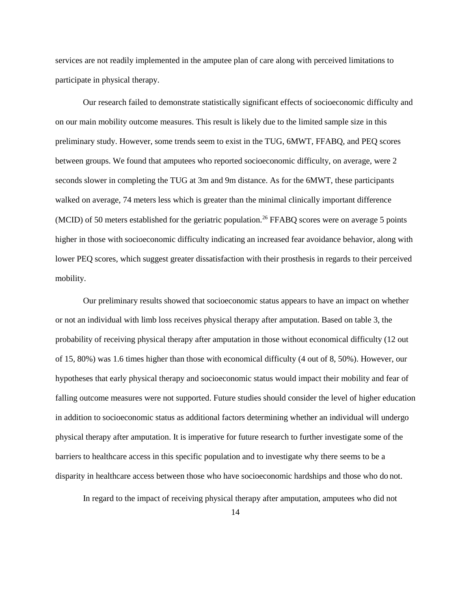services are not readily implemented in the amputee plan of care along with perceived limitations to participate in physical therapy.

Our research failed to demonstrate statistically significant effects of socioeconomic difficulty and on our main mobility outcome measures. This result is likely due to the limited sample size in this preliminary study. However, some trends seem to exist in the TUG, 6MWT, FFABQ, and PEQ scores between groups. We found that amputees who reported socioeconomic difficulty, on average, were 2 seconds slower in completing the TUG at 3m and 9m distance. As for the 6MWT, these participants walked on average, 74 meters less which is greater than the minimal clinically important difference (MCID) of 50 meters established for the geriatric population.<sup>26</sup> FFABQ scores were on average 5 points higher in those with socioeconomic difficulty indicating an increased fear avoidance behavior, along with lower PEQ scores, which suggest greater dissatisfaction with their prosthesis in regards to their perceived mobility.

Our preliminary results showed that socioeconomic status appears to have an impact on whether or not an individual with limb loss receives physical therapy after amputation. Based on table 3, the probability of receiving physical therapy after amputation in those without economical difficulty (12 out of 15, 80%) was 1.6 times higher than those with economical difficulty (4 out of 8, 50%). However, our hypotheses that early physical therapy and socioeconomic status would impact their mobility and fear of falling outcome measures were not supported. Future studies should consider the level of higher education in addition to socioeconomic status as additional factors determining whether an individual will undergo physical therapy after amputation. It is imperative for future research to further investigate some of the barriers to healthcare access in this specific population and to investigate why there seems to be a disparity in healthcare access between those who have socioeconomic hardships and those who do not.

In regard to the impact of receiving physical therapy after amputation, amputees who did not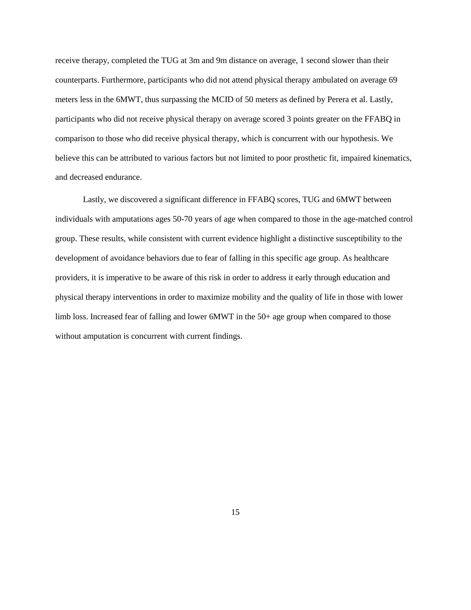receive therapy, completed the TUG at 3m and 9m distance on average, 1 second slower than their counterparts. Furthermore, participants who did not attend physical therapy ambulated on average 69 meters less in the 6MWT, thus surpassing the MCID of 50 meters as defined by Perera et al. Lastly, participants who did not receive physical therapy on average scored 3 points greater on the FFABQ in comparison to those who did receive physical therapy, which is concurrent with our hypothesis. We believe this can be attributed to various factors but not limited to poor prosthetic fit, impaired kinematics, and decreased endurance.

Lastly, we discovered a significant difference in FFABQ scores, TUG and 6MWT between individuals with amputations ages 50-70 years of age when compared to those in the age-matched control group. These results, while consistent with current evidence highlight a distinctive susceptibility to the development of avoidance behaviors due to fear of falling in this specific age group. As healthcare providers, it is imperative to be aware of this risk in order to address it early through education and physical therapy interventions in order to maximize mobility and the quality of life in those with lower limb loss. Increased fear of falling and lower 6MWT in the 50+ age group when compared to those without amputation is concurrent with current findings.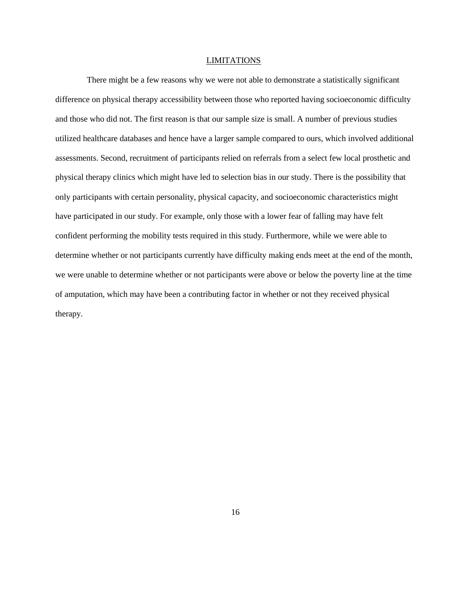#### LIMITATIONS

There might be a few reasons why we were not able to demonstrate a statistically significant difference on physical therapy accessibility between those who reported having socioeconomic difficulty and those who did not. The first reason is that our sample size is small. A number of previous studies utilized healthcare databases and hence have a larger sample compared to ours, which involved additional assessments. Second, recruitment of participants relied on referrals from a select few local prosthetic and physical therapy clinics which might have led to selection bias in our study. There is the possibility that only participants with certain personality, physical capacity, and socioeconomic characteristics might have participated in our study. For example, only those with a lower fear of falling may have felt confident performing the mobility tests required in this study. Furthermore, while we were able to determine whether or not participants currently have difficulty making ends meet at the end of the month, we were unable to determine whether or not participants were above or below the poverty line at the time of amputation, which may have been a contributing factor in whether or not they received physical therapy.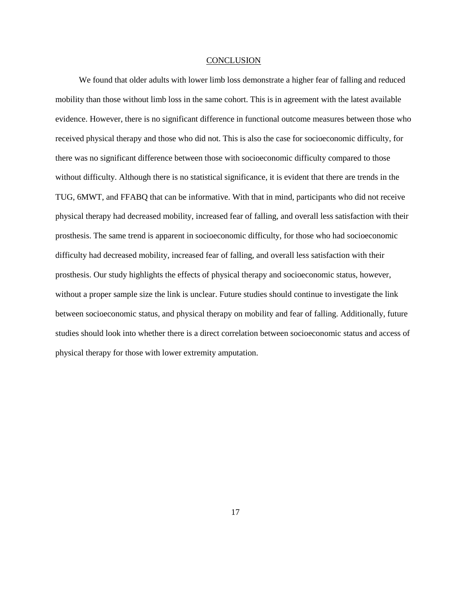#### **CONCLUSION**

We found that older adults with lower limb loss demonstrate a higher fear of falling and reduced mobility than those without limb loss in the same cohort. This is in agreement with the latest available evidence. However, there is no significant difference in functional outcome measures between those who received physical therapy and those who did not. This is also the case for socioeconomic difficulty, for there was no significant difference between those with socioeconomic difficulty compared to those without difficulty. Although there is no statistical significance, it is evident that there are trends in the TUG, 6MWT, and FFABQ that can be informative. With that in mind, participants who did not receive physical therapy had decreased mobility, increased fear of falling, and overall less satisfaction with their prosthesis. The same trend is apparent in socioeconomic difficulty, for those who had socioeconomic difficulty had decreased mobility, increased fear of falling, and overall less satisfaction with their prosthesis. Our study highlights the effects of physical therapy and socioeconomic status, however, without a proper sample size the link is unclear. Future studies should continue to investigate the link between socioeconomic status, and physical therapy on mobility and fear of falling. Additionally, future studies should look into whether there is a direct correlation between socioeconomic status and access of physical therapy for those with lower extremity amputation.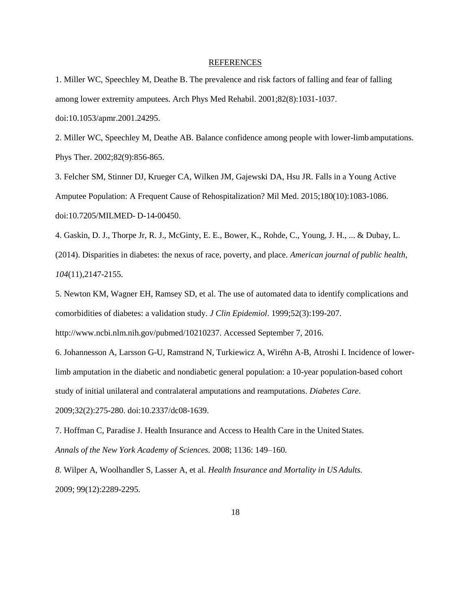#### REFERENCES

1. Miller WC, Speechley M, Deathe B. The prevalence and risk factors of falling and fear of falling among lower extremity amputees. Arch Phys Med Rehabil. 2001;82(8):1031-1037.

doi:10.1053/apmr.2001.24295.

2. Miller WC, Speechley M, Deathe AB. Balance confidence among people with lower-limb amputations. Phys Ther. 2002;82(9):856-865.

3. Felcher SM, Stinner DJ, Krueger CA, Wilken JM, Gajewski DA, Hsu JR. Falls in a Young Active Amputee Population: A Frequent Cause of Rehospitalization? Mil Med. 2015;180(10):1083-1086. doi:10.7205/MILMED- D-14-00450.

4. Gaskin, D. J., Thorpe Jr, R. J., McGinty, E. E., Bower, K., Rohde, C., Young, J. H., ... & Dubay, L. (2014). Disparities in diabetes: the nexus of race, poverty, and place. *American journal of public health*, *104*(11),2147-2155.

5. Newton KM, Wagner EH, Ramsey SD, et al. The use of automated data to identify complications and comorbidities of diabetes: a validation study. *J Clin Epidemiol*. 1999;52(3):199-207.

[http://www.ncbi.nlm.nih.gov/pubmed/10210237. A](http://www.ncbi.nlm.nih.gov/pubmed/10210237)ccessed September 7, 2016.

6. Johannesson A, Larsson G-U, Ramstrand N, Turkiewicz A, Wiréhn A-B, Atroshi I. Incidence of lowerlimb amputation in the diabetic and nondiabetic general population: a 10-year population-based cohort study of initial unilateral and contralateral amputations and reamputations. *Diabetes Care*.

2009;32(2):275-280. doi:10.2337/dc08-1639.

7. Hoffman C, Paradise J. Health Insurance and Access to Health Care in the United States. *Annals of the New York Academy of Sciences.* 2008; 1136: 149–160.

*8.* Wilper A, Woolhandler S, Lasser A, et al. *Health Insurance and Mortality in US Adults.* 2009; 99(12):2289-2295.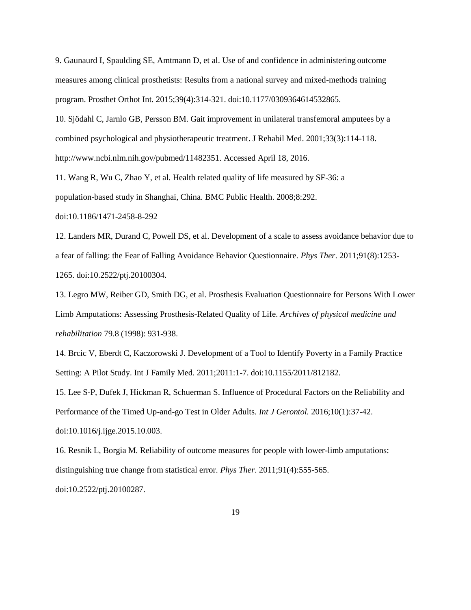9. Gaunaurd I, Spaulding SE, Amtmann D, et al. Use of and confidence in administering outcome measures among clinical prosthetists: Results from a national survey and mixed-methods training program. Prosthet Orthot Int. 2015;39(4):314-321. doi:10.1177/0309364614532865.

10. Sjödahl C, Jarnlo GB, Persson BM. Gait improvement in unilateral transfemoral amputees by a combined psychological and physiotherapeutic treatment. J Rehabil Med. 2001;33(3):114-118. [http://www.ncbi.nlm.nih.gov/pubmed/11482351. A](http://www.ncbi.nlm.nih.gov/pubmed/11482351)ccessed April 18, 2016.

11. Wang R, Wu C, Zhao Y, et al. Health related quality of life measured by SF-36: a

population-based study in Shanghai, China. BMC Public Health. 2008;8:292.

doi:10.1186/1471-2458-8-292

12. Landers MR, Durand C, Powell DS, et al. Development of a scale to assess avoidance behavior due to a fear of falling: the Fear of Falling Avoidance Behavior Questionnaire. *Phys Ther*. 2011;91(8):1253- 1265. doi:10.2522/ptj.20100304.

13. Legro MW, Reiber GD, Smith DG, et al. Prosthesis Evaluation Questionnaire for Persons With Lower Limb Amputations: Assessing Prosthesis-Related Quality of Life. *Archives of physical medicine and rehabilitation* 79.8 (1998): 931-938.

14. Brcic V, Eberdt C, Kaczorowski J. Development of a Tool to Identify Poverty in a Family Practice Setting: A Pilot Study. Int J Family Med. 2011;2011:1-7. doi:10.1155/2011/812182.

15. Lee S-P, Dufek J, Hickman R, Schuerman S. Influence of Procedural Factors on the Reliability and Performance of the Timed Up-and-go Test in Older Adults. *Int J Gerontol.* 2016;10(1):37-42. doi:10.1016/j.ijge.2015.10.003.

16. Resnik L, Borgia M. Reliability of outcome measures for people with lower-limb amputations: distinguishing true change from statistical error. *Phys Ther*. 2011;91(4):555-565. doi:10.2522/ptj.20100287.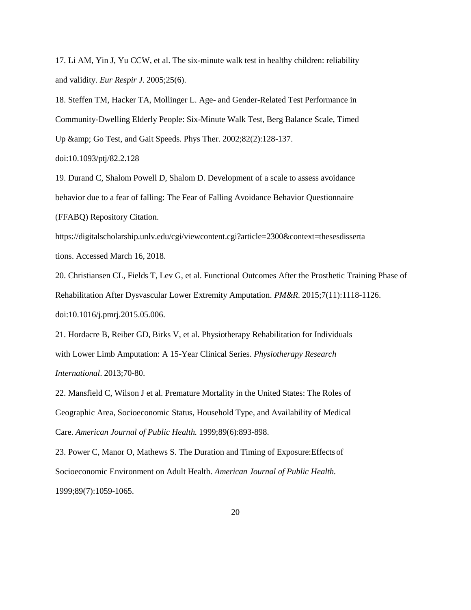17. Li AM, Yin J, Yu CCW, et al. The six-minute walk test in healthy children: reliability and validity. *Eur Respir J*. 2005;25(6).

18. Steffen TM, Hacker TA, Mollinger L. Age- and Gender-Related Test Performance in Community-Dwelling Elderly People: Six-Minute Walk Test, Berg Balance Scale, Timed Up & amp; Go Test, and Gait Speeds. Phys Ther. 2002;82(2):128-137.

doi:10.1093/ptj/82.2.128

19. Durand C, Shalom Powell D, Shalom D. Development of a scale to assess avoidance behavior due to a fear of falling: The Fear of Falling Avoidance Behavior Questionnaire (FFABQ) Repository Citation.

https://digitalscholarship.unlv.edu/cgi/viewcontent.cgi?article=2300&context=thesesdisserta tions. Accessed March 16, 2018.

20. Christiansen CL, Fields T, Lev G, et al. Functional Outcomes After the Prosthetic Training Phase of Rehabilitation After Dysvascular Lower Extremity Amputation. *PM&R*. 2015;7(11):1118-1126. doi:10.1016/j.pmrj.2015.05.006.

21. Hordacre B, Reiber GD, Birks V, et al. Physiotherapy Rehabilitation for Individuals with Lower Limb Amputation: A 15-Year Clinical Series. *Physiotherapy Research International*. 2013;70-80.

22. Mansfield C, Wilson J et al. Premature Mortality in the United States: The Roles of Geographic Area, Socioeconomic Status, Household Type, and Availability of Medical Care. *American Journal of Public Health.* 1999;89(6):893-898.

23. Power C, Manor O, Mathews S. The Duration and Timing of Exposure:Effects of Socioeconomic Environment on Adult Health. *American Journal of Public Health.*  1999;89(7):1059-1065.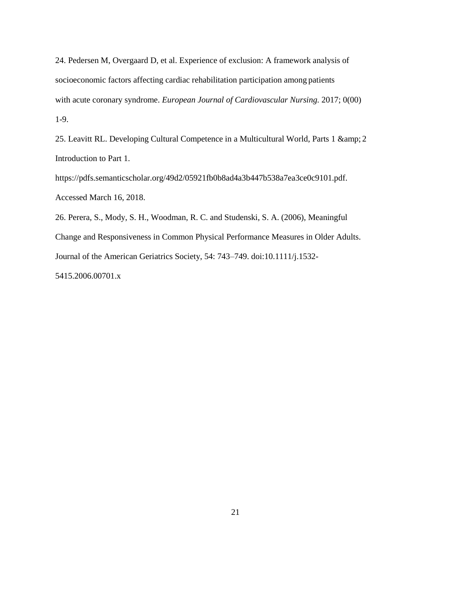24. Pedersen M, Overgaard D, et al. Experience of exclusion: A framework analysis of socioeconomic factors affecting cardiac rehabilitation participation among patients with acute coronary syndrome. *European Journal of Cardiovascular Nursing.* 2017; 0(00) 1-9.

25. Leavitt RL. Developing Cultural Competence in a Multicultural World, Parts 1 & amp; 2 Introduction to Part 1.

https://pdfs.semanticscholar.org/49d2/05921fb0b8ad4a3b447b538a7ea3ce0c9101.pdf. Accessed March 16, 2018.

26. Perera, S., Mody, S. H., Woodman, R. C. and Studenski, S. A. (2006), Meaningful Change and Responsiveness in Common Physical Performance Measures in Older Adults. Journal of the American Geriatrics Society, 54: 743–749. doi:10.1111/j.1532- 5415.2006.00701.x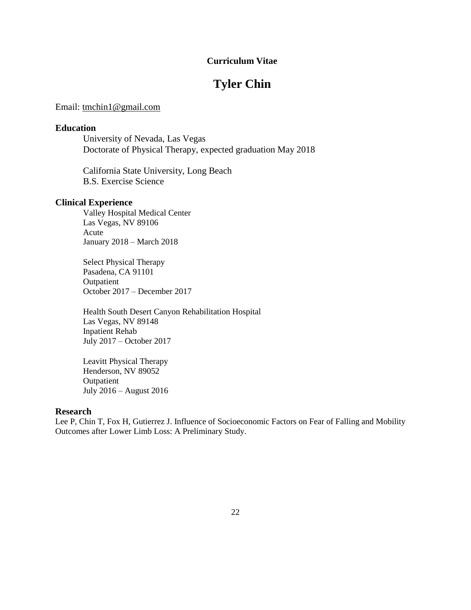# **Curriculum Vitae**

# **Tyler Chin**

## Email: [tmchin1@gmail.com](mailto:tmchin1@gmail.com)

#### **Education**

University of Nevada, Las Vegas Doctorate of Physical Therapy, expected graduation May 2018

California State University, Long Beach B.S. Exercise Science

#### **Clinical Experience**

Valley Hospital Medical Center Las Vegas, NV 89106 Acute January 2018 – March 2018

Select Physical Therapy Pasadena, CA 91101 Outpatient October 2017 – December 2017

Health South Desert Canyon Rehabilitation Hospital Las Vegas, NV 89148 Inpatient Rehab July 2017 – October 2017

Leavitt Physical Therapy Henderson, NV 89052 **Outpatient** July 2016 – August 2016

# **Research**

Lee P, Chin T, Fox H, Gutierrez J. Influence of Socioeconomic Factors on Fear of Falling and Mobility Outcomes after Lower Limb Loss: A Preliminary Study.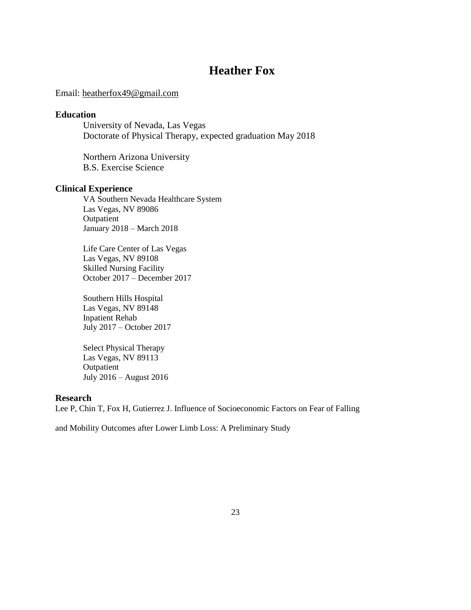# **Heather Fox**

## Email: [heatherfox49@gmail.com](mailto:heatherfox49@gmail.com)

## **Education**

University of Nevada, Las Vegas Doctorate of Physical Therapy, expected graduation May 2018

Northern Arizona University B.S. Exercise Science

#### **Clinical Experience**

VA Southern Nevada Healthcare System Las Vegas, NV 89086 **Outpatient** January 2018 – March 2018

Life Care Center of Las Vegas Las Vegas, NV 89108 Skilled Nursing Facility October 2017 – December 2017

Southern Hills Hospital Las Vegas, NV 89148 Inpatient Rehab July 2017 – October 2017

Select Physical Therapy Las Vegas, NV 89113 Outpatient July 2016 – August 2016

#### **Research**

Lee P, Chin T, Fox H, Gutierrez J. Influence of Socioeconomic Factors on Fear of Falling

and Mobility Outcomes after Lower Limb Loss: A Preliminary Study